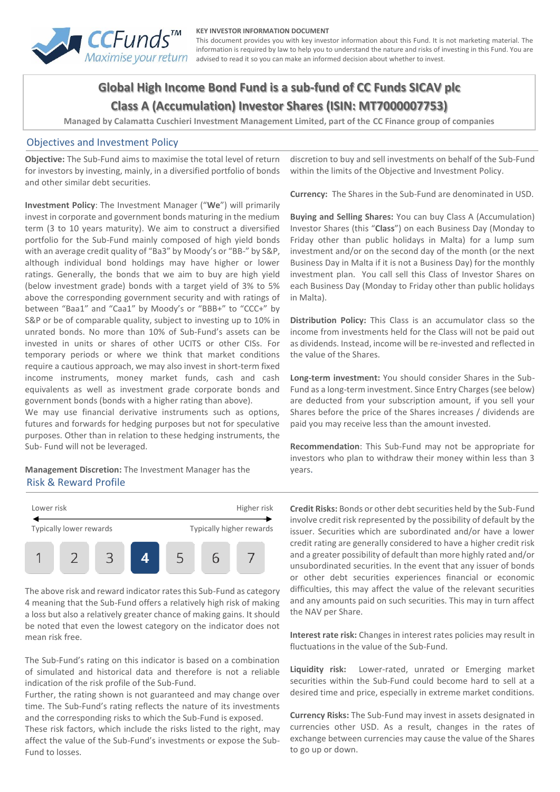

#### **KEY INVESTOR INFORMATION DOCUMENT**

This document provides you with key investor information about this Fund. It is not marketing material. The information is required by law to help you to understand the nature and risks of investing in this Fund. You are advised to read it so you can make an informed decision about whether to invest.

# **Global High Income Bond Fund is a sub-fund of CC Funds SICAV plc Class A (Accumulation) Investor Shares (ISIN: MT7000007753)**

**Managed by Calamatta Cuschieri Investment Management Limited, part of the CC Finance group of companies**

#### Objectives and Investment Policy

**Objective:** The Sub-Fund aims to maximise the total level of return for investors by investing, mainly, in a diversified portfolio of bonds and other similar debt securities.

**Investment Policy**: The Investment Manager ("**We**") will primarily invest in corporate and government bonds maturing in the medium term (3 to 10 years maturity). We aim to construct a diversified portfolio for the Sub-Fund mainly composed of high yield bonds with an average credit quality of "Ba3" by Moody's or "BB-" by S&P, although individual bond holdings may have higher or lower ratings. Generally, the bonds that we aim to buy are high yield (below investment grade) bonds with a target yield of 3% to 5% above the corresponding government security and with ratings of between "Baa1" and "Caa1" by Moody's or "BBB+" to "CCC+" by S&P or be of comparable quality, subject to investing up to 10% in unrated bonds. No more than 10% of Sub-Fund's assets can be invested in units or shares of other UCITS or other CISs. For temporary periods or where we think that market conditions require a cautious approach, we may also invest in short-term fixed income instruments, money market funds, cash and cash equivalents as well as investment grade corporate bonds and government bonds (bonds with a higher rating than above).

We may use financial derivative instruments such as options, futures and forwards for hedging purposes but not for speculative purposes. Other than in relation to these hedging instruments, the Sub- Fund will not be leveraged.

#### **Management Discretion:** The Investment Manager has the Risk & Reward Profile



The above risk and reward indicator rates this Sub-Fund as category 4 meaning that the Sub-Fund offers a relatively high risk of making a loss but also a relatively greater chance of making gains. It should be noted that even the lowest category on the indicator does not mean risk free.

The Sub-Fund's rating on this indicator is based on a combination of simulated and historical data and therefore is not a reliable indication of the risk profile of the Sub-Fund.

Further, the rating shown is not guaranteed and may change over time. The Sub-Fund's rating reflects the nature of its investments and the corresponding risks to which the Sub-Fund is exposed.

These risk factors, which include the risks listed to the right, may affect the value of the Sub-Fund's investments or expose the Sub-Fund to losses.

discretion to buy and sell investments on behalf of the Sub-Fund within the limits of the Objective and Investment Policy.

**Currency:** The Shares in the Sub-Fund are denominated in USD.

**Buying and Selling Shares:** You can buy Class A (Accumulation) Investor Shares (this "**Class**") on each Business Day (Monday to Friday other than public holidays in Malta) for a lump sum investment and/or on the second day of the month (or the next Business Day in Malta if it is not a Business Day) for the monthly investment plan. You call sell this Class of Investor Shares on each Business Day (Monday to Friday other than public holidays in Malta).

**Distribution Policy:** This Class is an accumulator class so the income from investments held for the Class will not be paid out as dividends. Instead, income will be re-invested and reflected in the value of the Shares.

**Long-term investment:** You should consider Shares in the Sub-Fund as a long-term investment. Since Entry Charges (see below) are deducted from your subscription amount, if you sell your Shares before the price of the Shares increases / dividends are paid you may receive less than the amount invested.

**Recommendation**: This Sub-Fund may not be appropriate for investors who plan to withdraw their money within less than 3 years.

**Credit Risks:** Bonds or other debt securities held by the Sub-Fund involve credit risk represented by the possibility of default by the issuer. Securities which are subordinated and/or have a lower credit rating are generally considered to have a higher credit risk and a greater possibility of default than more highly rated and/or unsubordinated securities. In the event that any issuer of bonds or other debt securities experiences financial or economic difficulties, this may affect the value of the relevant securities and any amounts paid on such securities. This may in turn affect the NAV per Share.

**Interest rate risk:** Changes in interest rates policies may result in fluctuations in the value of the Sub-Fund.

**Liquidity risk:** Lower-rated, unrated or Emerging market securities within the Sub-Fund could become hard to sell at a desired time and price, especially in extreme market conditions.

**Currency Risks:** The Sub-Fund may invest in assets designated in currencies other USD. As a result, changes in the rates of exchange between currencies may cause the value of the Shares to go up or down.